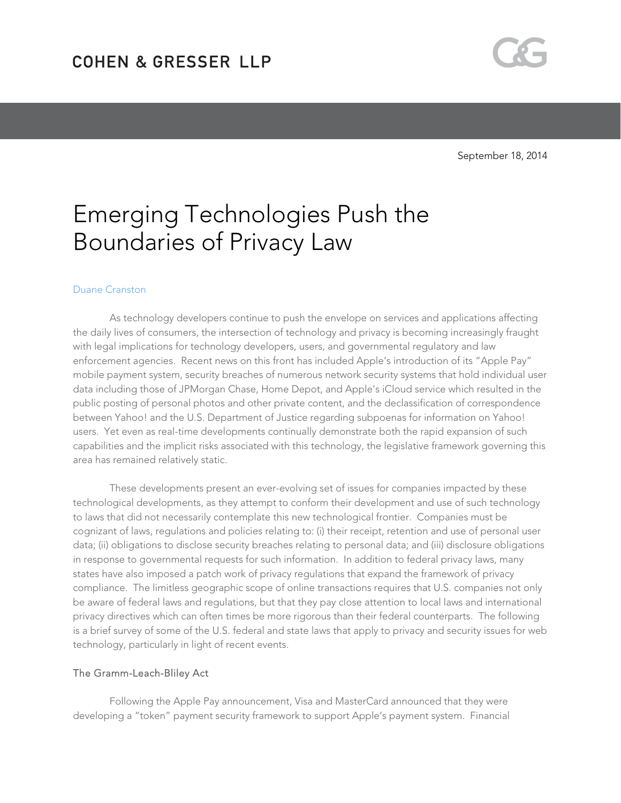

# Emerging Technologies Push the Boundaries of Privacy Law

#### Duane Cranston

As technology developers continue to push the envelope on services and applications affecting the daily lives of consumers, the intersection of technology and privacy is becoming increasingly fraught with legal implications for technology developers, users, and governmental regulatory and law enforcement agencies. Recent news on this front has included Apple's introduction of its "Apple Pay" mobile payment system, security breaches of numerous network security systems that hold individual user data including those of JPMorgan Chase, Home Depot, and Apple's iCloud service which resulted in the public posting of personal photos and other private content, and the declassification of correspondence between Yahoo! and the U.S. Department of Justice regarding subpoenas for information on Yahoo! users. Yet even as real-time developments continually demonstrate both the rapid expansion of such capabilities and the implicit risks associated with this technology, the legislative framework governing this area has remained relatively static.

 These developments present an ever-evolving set of issues for companies impacted by these technological developments, as they attempt to conform their development and use of such technology to laws that did not necessarily contemplate this new technological frontier. Companies must be cognizant of laws, regulations and policies relating to: (i) their receipt, retention and use of personal user data; (ii) obligations to disclose security breaches relating to personal data; and (iii) disclosure obligations in response to governmental requests for such information. In addition to federal privacy laws, many states have also imposed a patch work of privacy regulations that expand the framework of privacy compliance. The limitless geographic scope of online transactions requires that U.S. companies not only be aware of federal laws and regulations, but that they pay close attention to local laws and international privacy directives which can often times be more rigorous than their federal counterparts. The following is a brief survey of some of the U.S. federal and state laws that apply to privacy and security issues for web technology, particularly in light of recent events.

#### The Gramm-Leach-Bliley Act

Following the Apple Pay announcement, Visa and MasterCard announced that they were developing a "token" payment security framework to support Apple's payment system. Financial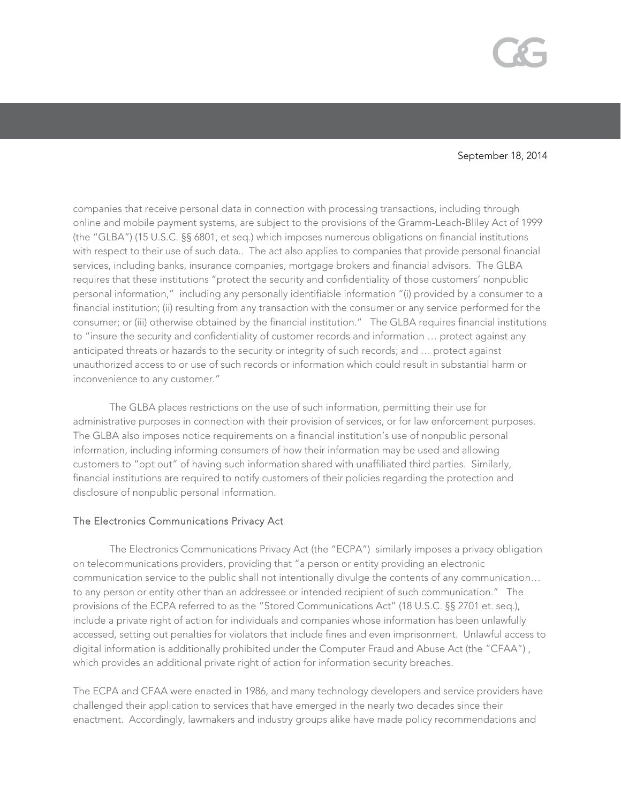

companies that receive personal data in connection with processing transactions, including through online and mobile payment systems, are subject to the provisions of the Gramm-Leach-Bliley Act of 1999 (the "GLBA") (15 U.S.C. §§ 6801, et seq.) which imposes numerous obligations on financial institutions with respect to their use of such data.. The act also applies to companies that provide personal financial services, including banks, insurance companies, mortgage brokers and financial advisors. The GLBA requires that these institutions "protect the security and confidentiality of those customers' nonpublic personal information," including any personally identifiable information "(i) provided by a consumer to a financial institution; (ii) resulting from any transaction with the consumer or any service performed for the consumer; or (iii) otherwise obtained by the financial institution." The GLBA requires financial institutions to "insure the security and confidentiality of customer records and information … protect against any anticipated threats or hazards to the security or integrity of such records; and … protect against unauthorized access to or use of such records or information which could result in substantial harm or inconvenience to any customer."

The GLBA places restrictions on the use of such information, permitting their use for administrative purposes in connection with their provision of services, or for law enforcement purposes. The GLBA also imposes notice requirements on a financial institution's use of nonpublic personal information, including informing consumers of how their information may be used and allowing customers to "opt out" of having such information shared with unaffiliated third parties. Similarly, financial institutions are required to notify customers of their policies regarding the protection and disclosure of nonpublic personal information.

### The Electronics Communications Privacy Act

 The Electronics Communications Privacy Act (the "ECPA") similarly imposes a privacy obligation on telecommunications providers, providing that "a person or entity providing an electronic communication service to the public shall not intentionally divulge the contents of any communication… to any person or entity other than an addressee or intended recipient of such communication." The provisions of the ECPA referred to as the "Stored Communications Act" (18 U.S.C. §§ 2701 et. seq.), include a private right of action for individuals and companies whose information has been unlawfully accessed, setting out penalties for violators that include fines and even imprisonment. Unlawful access to digital information is additionally prohibited under the Computer Fraud and Abuse Act (the "CFAA") , which provides an additional private right of action for information security breaches.

The ECPA and CFAA were enacted in 1986, and many technology developers and service providers have challenged their application to services that have emerged in the nearly two decades since their enactment. Accordingly, lawmakers and industry groups alike have made policy recommendations and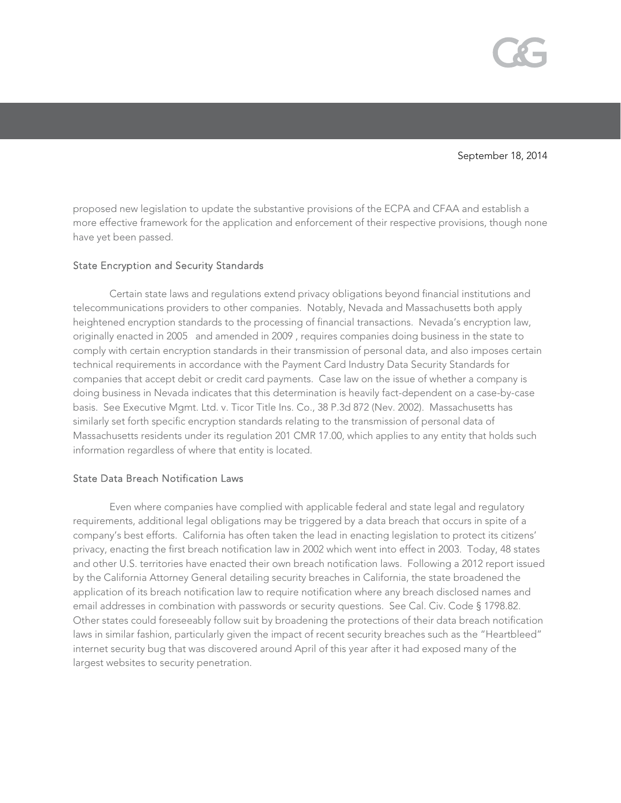

proposed new legislation to update the substantive provisions of the ECPA and CFAA and establish a more effective framework for the application and enforcement of their respective provisions, though none have yet been passed.

### State Encryption and Security Standards

Certain state laws and regulations extend privacy obligations beyond financial institutions and telecommunications providers to other companies. Notably, Nevada and Massachusetts both apply heightened encryption standards to the processing of financial transactions. Nevada's encryption law, originally enacted in 2005 and amended in 2009 , requires companies doing business in the state to comply with certain encryption standards in their transmission of personal data, and also imposes certain technical requirements in accordance with the Payment Card Industry Data Security Standards for companies that accept debit or credit card payments. Case law on the issue of whether a company is doing business in Nevada indicates that this determination is heavily fact-dependent on a case-by-case basis. See Executive Mgmt. Ltd. v. Ticor Title Ins. Co., 38 P.3d 872 (Nev. 2002). Massachusetts has similarly set forth specific encryption standards relating to the transmission of personal data of Massachusetts residents under its regulation 201 CMR 17.00, which applies to any entity that holds such information regardless of where that entity is located.

## State Data Breach Notification Laws

 Even where companies have complied with applicable federal and state legal and regulatory requirements, additional legal obligations may be triggered by a data breach that occurs in spite of a company's best efforts. California has often taken the lead in enacting legislation to protect its citizens' privacy, enacting the first breach notification law in 2002 which went into effect in 2003. Today, 48 states and other U.S. territories have enacted their own breach notification laws. Following a 2012 report issued by the California Attorney General detailing security breaches in California, the state broadened the application of its breach notification law to require notification where any breach disclosed names and email addresses in combination with passwords or security questions. See Cal. Civ. Code § 1798.82. Other states could foreseeably follow suit by broadening the protections of their data breach notification laws in similar fashion, particularly given the impact of recent security breaches such as the "Heartbleed" internet security bug that was discovered around April of this year after it had exposed many of the largest websites to security penetration.